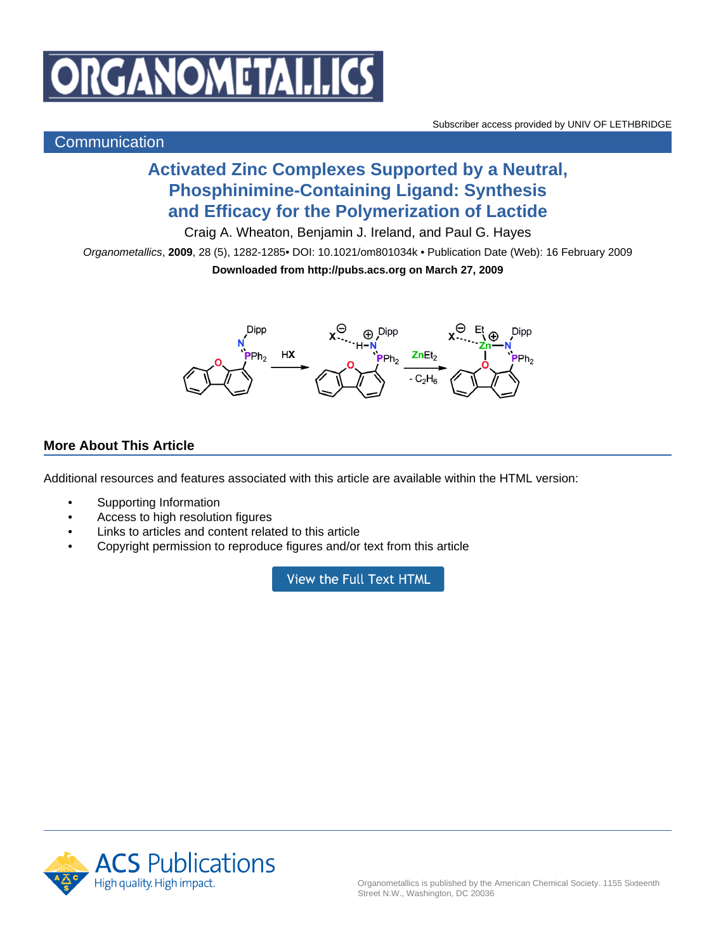

## **Communication**

## **Activated Zinc Complexes Supported by a Neutral, Phosphinimine-Containing Ligand: Synthesis and Efficacy for the Polymerization of Lactide**

Craig A. Wheaton, Benjamin J. Ireland, and Paul G. Hayes

Organometallics, **2009**, 28 (5), 1282-1285• DOI: 10.1021/om801034k • Publication Date (Web): 16 February 2009 **Downloaded from http://pubs.acs.org on March 27, 2009**



## **More About This Article**

Additional resources and features associated with this article are available within the HTML version:

- Supporting Information
- Access to high resolution figures
- Links to articles and content related to this article
- Copyright permission to reproduce figures and/or text from this article

View the Full Text HTML

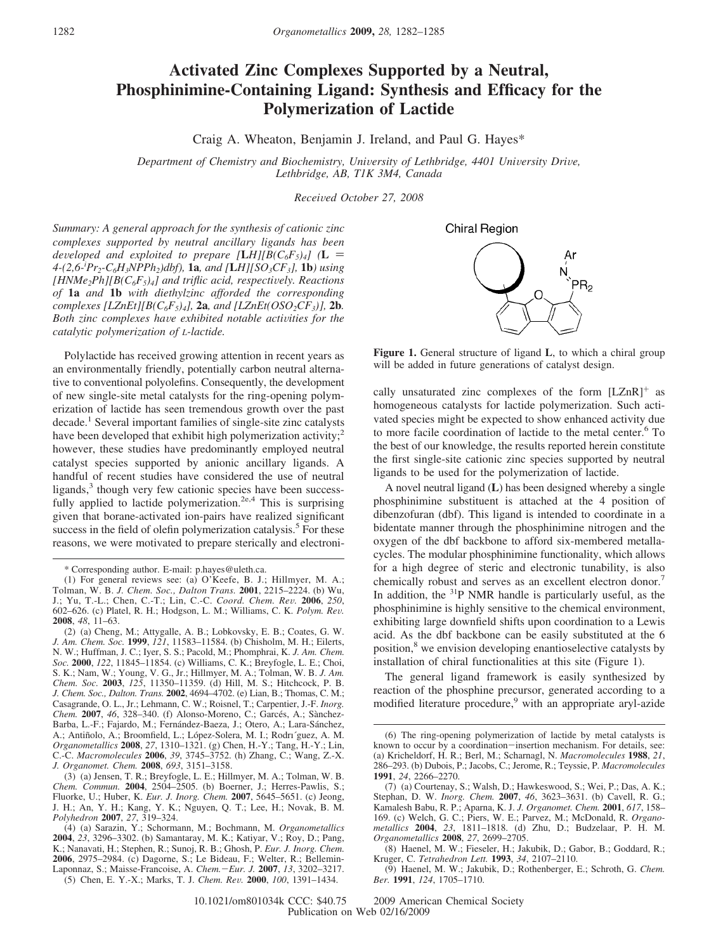## **Activated Zinc Complexes Supported by a Neutral, Phosphinimine-Containing Ligand: Synthesis and Efficacy for the Polymerization of Lactide**

Craig A. Wheaton, Benjamin J. Ireland, and Paul G. Hayes\*

*Department of Chemistry and Biochemistry, University of Lethbridge, 4401 University Drive, Lethbridge, AB, T1K 3M4, Canada*

*Recei*V*ed October 27, 2008*

*Summary: A general approach for the synthesis of cationic zinc complexes supported by neutral ancillary ligands has been developed and exploited to prepare*  $[\mathbf{L}H][B(C_6F_5)_4]$  ( $\mathbf{L}$  = *4-(2,6-i Pr2-C6H3NPPh2)dbf),* **1a***, and [***L***H][SO3CF3],* **1b***) using*  $[HNMe<sub>2</sub>Ph][B(C<sub>6</sub>F<sub>5</sub>)<sub>4</sub>]$  and triflic acid, respectively. Reactions *of* **1a** *and* **1b** *with diethylzinc afforded the corresponding complexes [LZnEt][B(C<sub>6</sub>F<sub>5</sub>)<sub>4</sub>], 2a, and [LZnEt(OSO<sub>2</sub>CF<sub>3</sub>)], 2b. Both zinc complexes have exhibited notable activities for the catalytic polymerization of L-lactide.*

Polylactide has received growing attention in recent years as an environmentally friendly, potentially carbon neutral alternative to conventional polyolefins. Consequently, the development of new single-site metal catalysts for the ring-opening polymerization of lactide has seen tremendous growth over the past decade.1 Several important families of single-site zinc catalysts have been developed that exhibit high polymerization activity; $\frac{2}{3}$ however, these studies have predominantly employed neutral catalyst species supported by anionic ancillary ligands. A handful of recent studies have considered the use of neutral ligands,<sup>3</sup> though very few cationic species have been successfully applied to lactide polymerization.<sup>2e,4</sup> This is surprising given that borane-activated ion-pairs have realized significant success in the field of olefin polymerization catalysis.<sup>5</sup> For these reasons, we were motivated to prepare sterically and electroni-

- (1) For general reviews see: (a) O'Keefe, B. J.; Hillmyer, M. A.; Tolman, W. B. *J. Chem. Soc., Dalton Trans.* **2001**, 2215–2224. (b) Wu, J.; Yu, T.-L.; Chen, C.-T.; Lin, C.-C. *Coord. Chem. Re*V*.* **<sup>2006</sup>**, *<sup>250</sup>*, 602–626. (c) Platel, R. H.; Hodgson, L. M.; Williams, C. K. *Polym. Re*V*.* **2008**, *48*, 11–63.
- (2) (a) Cheng, M.; Attygalle, A. B.; Lobkovsky, E. B.; Coates, G. W. *J. Am. Chem. Soc.* **1999**, *121*, 11583–11584. (b) Chisholm, M. H.; Eilerts, N. W.; Huffman, J. C.; Iyer, S. S.; Pacold, M.; Phomphrai, K. *J. Am. Chem. Soc.* **2000**, *122*, 11845–11854. (c) Williams, C. K.; Breyfogle, L. E.; Choi, S. K.; Nam, W.; Young, V. G., Jr.; Hillmyer, M. A.; Tolman, W. B. *J. Am. Chem. Soc.* **2003**, *125*, 11350–11359. (d) Hill, M. S.; Hitchcock, P. B. *J. Chem. Soc., Dalton. Trans.* **2002**, 4694–4702. (e) Lian, B.; Thomas, C. M.; Casagrande, O. L., Jr.; Lehmann, C. W.; Roisnel, T.; Carpentier, J.-F. *Inorg. Chem.* 2007, 46, 328-340. (f) Alonso-Moreno, C.; Garcés, A.; Sànchez-Barba, L.-F.; Fajardo, M.; Fernández-Baeza, J.; Otero, A.; Lara-Sánchez, A.; Antiñolo, A.; Broomfield, L.; López-Solera, M. I.; Rodri´guez, A. M. *Organometallics* **2008**, *27*, 1310–1321. (g) Chen, H.-Y.; Tang, H.-Y.; Lin, C.-C. *Macromolecules* **2006**, *39*, 3745–3752. (h) Zhang, C.; Wang, Z.-X. *J. Organomet. Chem.* **2008**, *693*, 3151–3158.

(3) (a) Jensen, T. R.; Breyfogle, L. E.; Hillmyer, M. A.; Tolman, W. B. *Chem. Commun.* **2004**, 2504–2505. (b) Boerner, J.; Herres-Pawlis, S.; Fluorke, U.; Huber, K. *Eur. J. Inorg. Chem.* **2007**, 5645–5651. (c) Jeong, J. H.; An, Y. H.; Kang, Y. K.; Nguyen, Q. T.; Lee, H.; Novak, B. M. *Polyhedron* **2007**, *27*, 319–324.

(5) Chen, E. Y.-X.; Marks, T. J. *Chem. Re*V*.* **<sup>2000</sup>**, *<sup>100</sup>*, 1391–1434.

**Chiral Region** 



**Figure 1.** General structure of ligand **L**, to which a chiral group will be added in future generations of catalyst design.

cally unsaturated zinc complexes of the form  $[LZnR]^+$  as homogeneous catalysts for lactide polymerization. Such activated species might be expected to show enhanced activity due to more facile coordination of lactide to the metal center.6 To the best of our knowledge, the results reported herein constitute the first single-site cationic zinc species supported by neutral ligands to be used for the polymerization of lactide.

A novel neutral ligand (**L**) has been designed whereby a single phosphinimine substituent is attached at the 4 position of dibenzofuran (dbf). This ligand is intended to coordinate in a bidentate manner through the phosphinimine nitrogen and the oxygen of the dbf backbone to afford six-membered metallacycles. The modular phosphinimine functionality, which allows for a high degree of steric and electronic tunability, is also chemically robust and serves as an excellent electron donor.<sup>7</sup> In addition, the <sup>31</sup>P NMR handle is particularly useful, as the phosphinimine is highly sensitive to the chemical environment, exhibiting large downfield shifts upon coordination to a Lewis acid. As the dbf backbone can be easily substituted at the 6 position,<sup>8</sup> we envision developing enantioselective catalysts by installation of chiral functionalities at this site (Figure 1).

The general ligand framework is easily synthesized by reaction of the phosphine precursor, generated according to a modified literature procedure,<sup>9</sup> with an appropriate aryl-azide

<sup>\*</sup> Corresponding author. E-mail: p.hayes@uleth.ca.

<sup>(4) (</sup>a) Sarazin, Y.; Schormann, M.; Bochmann, M. *Organometallics* **2004**, *23*, 3296–3302. (b) Samantaray, M. K.; Katiyar, V.; Roy, D.; Pang, K.; Nanavati, H.; Stephen, R.; Sunoj, R. B.; Ghosh, P. *Eur. J. Inorg. Chem.* **2006**, 2975–2984. (c) Dagorne, S.; Le Bideau, F.; Welter, R.; Bellemin-Laponnaz, S.; Maisse-Francoise, A. *Chem.*-*Eur. J.* **<sup>2007</sup>**, *<sup>13</sup>*, 3202–3217.

<sup>(6)</sup> The ring-opening polymerization of lactide by metal catalysts is known to occur by a coordination-insertion mechanism. For details, see: (a) Kricheldorf, H. R.; Berl, M.; Scharnagl, N. *Macromolecules* **1988**, *21*, 286–293. (b) Dubois, P.; Jacobs, C.; Jerome, R.; Teyssie, P. *Macromolecules* **1991**, *24*, 2266–2270.

<sup>(7) (</sup>a) Courtenay, S.; Walsh, D.; Hawkeswood, S.; Wei, P.; Das, A. K.; Stephan, D. W. *Inorg. Chem.* **2007**, *46*, 3623–3631. (b) Cavell, R. G.; Kamalesh Babu, R. P.; Aparna, K. J. *J. Organomet. Chem.* **2001**, *617*, 158– 169. (c) Welch, G. C.; Piers, W. E.; Parvez, M.; McDonald, R. *Organometallics* **2004**, *23*, 1811–1818. (d) Zhu, D.; Budzelaar, P. H. M. *Organometallics* **2008**, *27*, 2699–2705.

<sup>(8)</sup> Haenel, M. W.; Fieseler, H.; Jakubik, D.; Gabor, B.; Goddard, R.; Kruger, C. *Tetrahedron Lett.* **1993**, *34*, 2107–2110.

<sup>(9)</sup> Haenel, M. W.; Jakubik, D.; Rothenberger, E.; Schroth, G. *Chem. Ber.* **1991**, *124*, 1705–1710.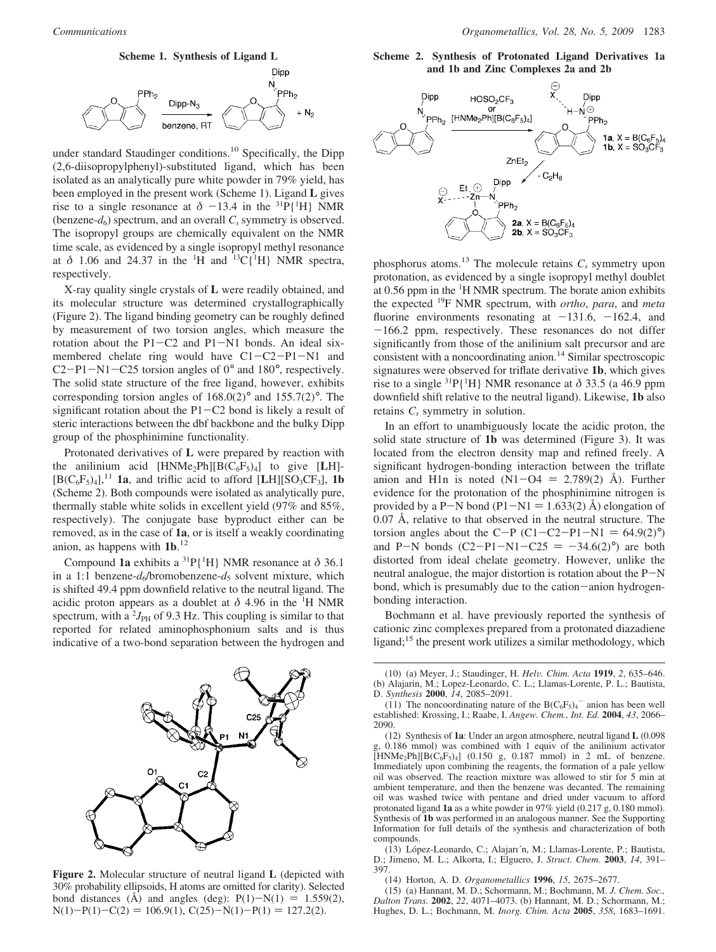

under standard Staudinger conditions.<sup>10</sup> Specifically, the Dipp (2,6-diisopropylphenyl)-substituted ligand, which has been isolated as an analytically pure white powder in 79% yield, has been employed in the present work (Scheme 1). Ligand **L** gives rise to a single resonance at  $\delta$  -13.4 in the <sup>31</sup>P{<sup>1</sup>H} NMR<br>(benzene-*d*) spectrum and an overall C symmetry is observed (benzene- $d_6$ ) spectrum, and an overall  $C_s$  symmetry is observed. The isopropyl groups are chemically equivalent on the NMR time scale, as evidenced by a single isopropyl methyl resonance at  $\delta$  1.06 and 24.37 in the <sup>1</sup>H and <sup>13</sup>C{<sup>1</sup>H} NMR spectra, respectively.

X-ray quality single crystals of **L** were readily obtained, and its molecular structure was determined crystallographically (Figure 2). The ligand binding geometry can be roughly defined by measurement of two torsion angles, which measure the rotation about the  $P1-C2$  and  $P1-N1$  bonds. An ideal sixmembered chelate ring would have C1-C2-P1-N1 and C2-P1-N1-C25 torsion angles of 0° and 180°, respectively. The solid state structure of the free ligand, however, exhibits corresponding torsion angles of 168.0(2)° and 155.7(2)°. The significant rotation about the P1-C2 bond is likely a result of steric interactions between the dbf backbone and the bulky Dipp group of the phosphinimine functionality.

Protonated derivatives of **L** were prepared by reaction with the anilinium acid  $[HNMe<sub>2</sub>Ph][B(C<sub>6</sub>F<sub>5</sub>)<sub>4</sub>]$  to give  $[LH]$ - $[B(C_6F_5)_4]$ ,<sup>11</sup> **1a**, and triflic acid to afford [LH][SO<sub>3</sub>CF<sub>3</sub>], **1b** (Scheme 2). Both compounds were isolated as analytically pure, thermally stable white solids in excellent yield (97% and 85%, respectively). The conjugate base byproduct either can be removed, as in the case of **1a**, or is itself a weakly coordinating anion, as happens with **1b**. 12

Compound **1a** exhibits a 31P{1 H} NMR resonance at *δ* 36.1 in a 1:1 benzene- $d_6$ /bromobenzene- $d_5$  solvent mixture, which is shifted 49.4 ppm downfield relative to the neutral ligand. The acidic proton appears as a doublet at  $\delta$  4.96 in the <sup>1</sup>H NMR spectrum, with a  $\frac{2J_{\text{PH}}}{2}$  of 9.3 Hz. This coupling is similar to that reported for related aminophosphonium salts and is thus indicative of a two-bond separation between the hydrogen and



**Figure 2.** Molecular structure of neutral ligand **L** (depicted with 30% probability ellipsoids, H atoms are omitted for clarity). Selected bond distances ( $\AA$ ) and angles (deg):  $P(1)-N(1) = 1.559(2)$ ,  $N(1)-P(1)-C(2) = 106.9(1), C(25)-N(1)-P(1) = 127.2(2).$ 

**Scheme 2. Synthesis of Protonated Ligand Derivatives 1a and 1b and Zinc Complexes 2a and 2b**



phosphorus atoms.<sup>13</sup> The molecule retains  $C_s$  symmetry upon protonation, as evidenced by a single isopropyl methyl doublet at 0.56 ppm in the <sup>1</sup>H NMR spectrum. The borate anion exhibits the expected 19F NMR spectrum, with *ortho*, *para*, and *meta* fluorine environments resonating at  $-131.6$ ,  $-162.4$ , and  $-166.2$  ppm, respectively. These resonances do not differ significantly from those of the anilinium salt precursor and are consistent with a noncoordinating anion.<sup>14</sup> Similar spectroscopic signatures were observed for triflate derivative **1b**, which gives rise to a single  ${}^{31}P{^1H}$  NMR resonance at  $\delta$  33.5 (a 46.9 ppm downfield shift relative to the neutral ligand). Likewise, **1b** also retains  $C_s$  symmetry in solution.

In an effort to unambiguously locate the acidic proton, the solid state structure of **1b** was determined (Figure 3). It was located from the electron density map and refined freely. A significant hydrogen-bonding interaction between the triflate anion and H1n is noted  $(N1-\text{O4} = 2.789(2)$  Å). Further evidence for the protonation of the phosphinimine nitrogen is provided by a P-N bond (P1-N1 = 1.633(2) Å) elongation of 0.07 Å, relative to that observed in the neutral structure. The torsion angles about the C-P (C1-C2-P1-N1 =  $64.9(2)°$ ) and P-N bonds  $(C2-P1-N1-C25 = -34.6(2)°)$  are both distorted from ideal chelate geometry. However, unlike the neutral analogue, the major distortion is rotation about the P-<sup>N</sup> bond, which is presumably due to the cation-anion hydrogenbonding interaction.

Bochmann et al. have previously reported the synthesis of cationic zinc complexes prepared from a protonated diazadiene ligand; $15$  the present work utilizes a similar methodology, which

(13) López-Leonardo, C.; Alajarı´n, M.; Llamas-Lorente, P.; Bautista, D.; Jimeno, M. L.; Alkorta, I.; Elguero, J. *Struct. Chem.* **2003**, *14*, 391– 397.

(14) Horton, A. D. *Organometallics* **1996**, *15*, 2675–2677.

(15) (a) Hannant, M. D.; Schormann, M.; Bochmann, M. *J. Chem. Soc., Dalton Trans.* **2002**, *22*, 4071–4073. (b) Hannant, M. D.; Schormann, M.; Hughes, D. L.; Bochmann, M. *Inorg. Chim. Acta* **2005**, *358*, 1683–1691.

<sup>(10) (</sup>a) Meyer, J.; Staudinger, H. *Hel*V*. Chim. Acta* **<sup>1919</sup>**, *<sup>2</sup>*, 635–646. (b) Alajarin, M.; Lopez-Leonardo, C. L.; Llamas-Lorente, P. L.; Bautista, D. *Synthesis* **2000**, *14*, 2085–2091.

<sup>(11)</sup> The noncoordinating nature of the  $B(C_6F_5)_4$ <sup>-</sup> anion has been well established: Krossing, I.; Raabe, I. *Angew. Chem., Int. Ed.* **2004**, *43*, 2066– 2090.

<sup>(12)</sup> Synthesis of **1a**: Under an argon atmosphere, neutral ligand **L** (0.098 g, 0.186 mmol) was combined with 1 equiv of the anilinium activator  $[HNMe_2Ph][B(C_6F_5)_4]$  (0.150 g, 0.187 mmol) in 2 mL of benzene. Immediately upon combining the reagents, the formation of a pale yellow oil was observed. The reaction mixture was allowed to stir for 5 min at ambient temperature, and then the benzene was decanted. The remaining oil was washed twice with pentane and dried under vacuum to afford protonated ligand **1a** as a white powder in 97% yield (0.217 g, 0.180 mmol). Synthesis of **1b** was performed in an analogous manner. See the Supporting Information for full details of the synthesis and characterization of both compounds.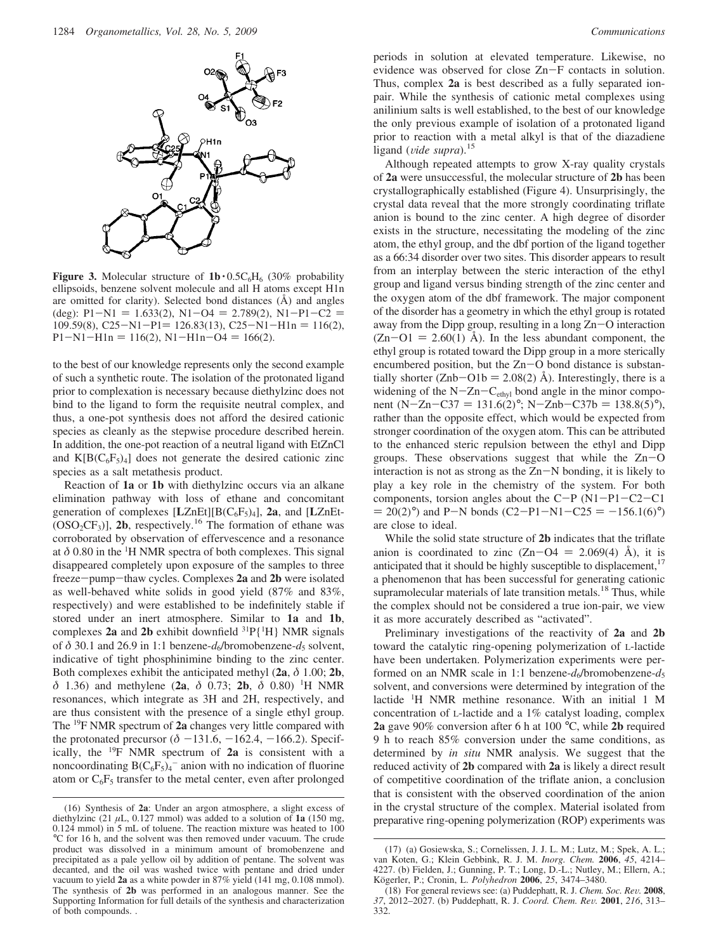

**Figure 3.** Molecular structure of  $1b \cdot 0.5C_6H_6$  (30% probability ellipsoids, benzene solvent molecule and all H atoms except H1n are omitted for clarity). Selected bond distances (Å) and angles (deg):  $P1-N1 = 1.633(2)$ ,  $N1-O4 = 2.789(2)$ ,  $N1-P1-C2 =$  $109.59(8)$ , C25-N1-P1= 126.83(13), C25-N1-H1n = 116(2),  $P1-N1-H1n = 116(2), N1-H1n-O4 = 166(2).$ 

to the best of our knowledge represents only the second example of such a synthetic route. The isolation of the protonated ligand prior to complexation is necessary because diethylzinc does not bind to the ligand to form the requisite neutral complex, and thus, a one-pot synthesis does not afford the desired cationic species as cleanly as the stepwise procedure described herein. In addition, the one-pot reaction of a neutral ligand with EtZnCl and  $K[B(C_6F_5)_4]$  does not generate the desired cationic zinc species as a salt metathesis product.

Reaction of **1a** or **1b** with diethylzinc occurs via an alkane elimination pathway with loss of ethane and concomitant generation of complexes [**L**ZnEt][B(C6F5)4], **2a**, and [**L**ZnEt-  $(OSO<sub>2</sub>CF<sub>3</sub>)$ ], **2b**, respectively.<sup>16</sup> The formation of ethane was corroborated by observation of effervescence and a resonance at  $\delta$  0.80 in the <sup>1</sup>H NMR spectra of both complexes. This signal disappeared completely upon exposure of the samples to three freeze-pump-thaw cycles. Complexes **2a** and **2b** were isolated as well-behaved white solids in good yield (87% and 83%, respectively) and were established to be indefinitely stable if stored under an inert atmosphere. Similar to **1a** and **1b**, complexes 2a and 2b exhibit downfield  ${}^{31}P[{^1}H]$  NMR signals of δ 30.1 and 26.9 in 1:1 benzene-*d*<sub>6</sub>/bromobenzene-*d*<sub>5</sub> solvent, indicative of tight phosphinimine binding to the zinc center. Both complexes exhibit the anticipated methyl (**2a**, *δ* 1.00; **2b**, *δ* 1.36) and methylene (**2a**, *δ* 0.73; **2b**, *δ* 0.80) <sup>1</sup> H NMR resonances, which integrate as 3H and 2H, respectively, and are thus consistent with the presence of a single ethyl group. The 19F NMR spectrum of **2a** changes very little compared with the protonated precursor  $(\delta -131.6, -162.4, -166.2)$ . Specifically, the 19F NMR spectrum of **2a** is consistent with a noncoordinating  $B(C_6F_5)_4$ <sup>-</sup> anion with no indication of fluorine atom or  $C_6F_5$  transfer to the metal center, even after prolonged periods in solution at elevated temperature. Likewise, no evidence was observed for close Zn-F contacts in solution. Thus, complex **2a** is best described as a fully separated ionpair. While the synthesis of cationic metal complexes using anilinium salts is well established, to the best of our knowledge the only previous example of isolation of a protonated ligand prior to reaction with a metal alkyl is that of the diazadiene ligand (*vide supra*).<sup>15</sup>

Although repeated attempts to grow X-ray quality crystals of **2a** were unsuccessful, the molecular structure of **2b** has been crystallographically established (Figure 4). Unsurprisingly, the crystal data reveal that the more strongly coordinating triflate anion is bound to the zinc center. A high degree of disorder exists in the structure, necessitating the modeling of the zinc atom, the ethyl group, and the dbf portion of the ligand together as a 66:34 disorder over two sites. This disorder appears to result from an interplay between the steric interaction of the ethyl group and ligand versus binding strength of the zinc center and the oxygen atom of the dbf framework. The major component of the disorder has a geometry in which the ethyl group is rotated away from the Dipp group, resulting in a long Zn-O interaction  $(Zn-O1 = 2.60(1)$  Å). In the less abundant component, the ethyl group is rotated toward the Dipp group in a more sterically encumbered position, but the  $Zn-O$  bond distance is substantially shorter (Znb-O1b = 2.08(2) Å). Interestingly, there is a widening of the  $N-Zn-C<sub>ethyl</sub>$  bond angle in the minor component (N-Zn-C37 = 131.6(2)°; N-Znb-C37b = 138.8(5)°), rather than the opposite effect, which would be expected from stronger coordination of the oxygen atom. This can be attributed to the enhanced steric repulsion between the ethyl and Dipp groups. These observations suggest that while the  $Zn-O$ interaction is not as strong as the Zn-N bonding, it is likely to play a key role in the chemistry of the system. For both components, torsion angles about the  $C-P(N1-P1-C2-C1)$  $= 20(2)°$ ) and P-N bonds (C2-P1-N1-C25 = -156.1(6)°) are close to ideal.

While the solid state structure of **2b** indicates that the triflate anion is coordinated to zinc  $(Zn-O4 = 2.069(4)$  Å), it is anticipated that it should be highly susceptible to displacement,<sup>17</sup> a phenomenon that has been successful for generating cationic supramolecular materials of late transition metals.<sup>18</sup> Thus, while the complex should not be considered a true ion-pair, we view it as more accurately described as "activated".

Preliminary investigations of the reactivity of **2a** and **2b** toward the catalytic ring-opening polymerization of L-lactide have been undertaken. Polymerization experiments were performed on an NMR scale in 1:1 benzene- $d_6$ /bromobenzene- $d_5$ solvent, and conversions were determined by integration of the lactide <sup>1</sup> H NMR methine resonance. With an initial 1 M concentration of L-lactide and a 1% catalyst loading, complex **2a** gave 90% conversion after 6 h at 100 °C, while **2b** required 9 h to reach 85% conversion under the same conditions, as determined by *in situ* NMR analysis. We suggest that the reduced activity of **2b** compared with **2a** is likely a direct result of competitive coordination of the triflate anion, a conclusion that is consistent with the observed coordination of the anion in the crystal structure of the complex. Material isolated from preparative ring-opening polymerization (ROP) experiments was

<sup>(16)</sup> Synthesis of **2a**: Under an argon atmosphere, a slight excess of diethylzinc (21  $\mu$ L, 0.127 mmol) was added to a solution of **1a** (150 mg, 0.124 mmol) in 5 mL of toluene. The reaction mixture was heated to 100 °C for 16 h, and the solvent was then removed under vacuum. The crude product was dissolved in a minimum amount of bromobenzene and precipitated as a pale yellow oil by addition of pentane. The solvent was decanted, and the oil was washed twice with pentane and dried under vacuum to yield **2a** as a white powder in 87% yield (141 mg, 0.108 mmol). The synthesis of **2b** was performed in an analogous manner. See the Supporting Information for full details of the synthesis and characterization of both compounds. .

<sup>(17) (</sup>a) Gosiewska, S.; Cornelissen, J. J. L. M.; Lutz, M.; Spek, A. L.; van Koten, G.; Klein Gebbink, R. J. M. *Inorg. Chem.* **2006**, *45*, 4214– 4227. (b) Fielden, J.; Gunning, P. T.; Long, D.-L.; Nutley, M.; Ellern, A.; Ko¨gerler, P.; Cronin, L. *Polyhedron* **2006**, *25*, 3474–3480.

<sup>(18)</sup> For general reviews see: (a) Puddephatt, R. J. *Chem. Soc. Re*V*.* **<sup>2008</sup>**, *<sup>37</sup>*, 2012–2027. (b) Puddephatt, R. J. *Coord. Chem. Re*V*.* **<sup>2001</sup>**, *<sup>216</sup>*, 313– 332.